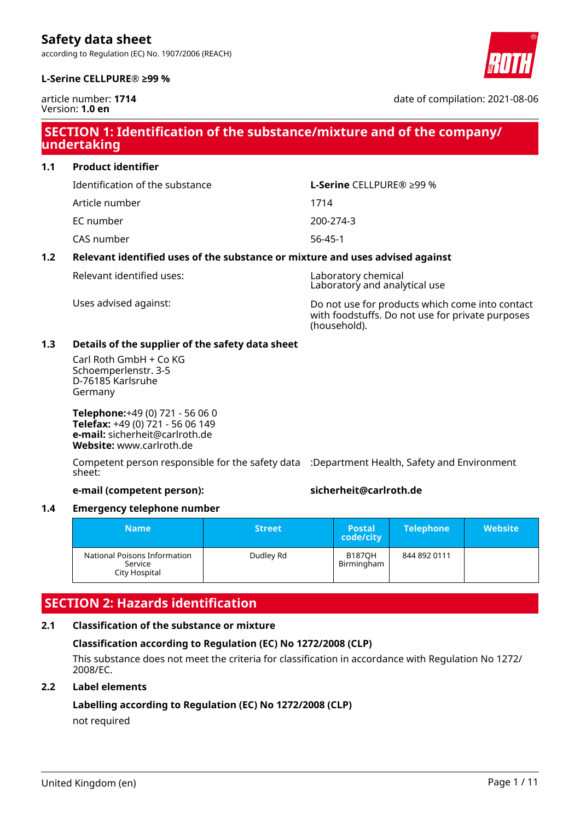according to Regulation (EC) No. 1907/2006 (REACH)





article number: **1714** Version: **1.0 en**

date of compilation: 2021-08-06

## **SECTION 1: Identification of the substance/mixture and of the company/ undertaking**

**1.1 Product identifier**

Identification of the substance **L-Serine** CELLPURE® ≥99 %

Article number 1714

EC number 200-274-3

CAS number 56-45-1

#### **1.2 Relevant identified uses of the substance or mixture and uses advised against**

Relevant identified uses: Laboratory chemical

Laboratory and analytical use

Uses advised against: Do not use for products which come into contact with foodstuffs. Do not use for private purposes (household).

### **1.3 Details of the supplier of the safety data sheet**

Carl Roth GmbH + Co KG Schoemperlenstr. 3-5 D-76185 Karlsruhe Germany

**Telephone:**+49 (0) 721 - 56 06 0 **Telefax:** +49 (0) 721 - 56 06 149 **e-mail:** sicherheit@carlroth.de **Website:** www.carlroth.de

Competent person responsible for the safety data :Department Health, Safety and Environment sheet:

#### **e-mail (competent person): sicherheit@carlroth.de**

#### **1.4 Emergency telephone number**

| <b>Name</b>                                              | <b>Street</b> | <b>Postal</b><br>code/city  | <b>Telephone</b> | <b>Website</b> |
|----------------------------------------------------------|---------------|-----------------------------|------------------|----------------|
| National Poisons Information<br>Service<br>City Hospital | Dudley Rd     | <b>B1870H</b><br>Birmingham | 844 892 0111     |                |

# **SECTION 2: Hazards identification**

### **2.1 Classification of the substance or mixture**

### **Classification according to Regulation (EC) No 1272/2008 (CLP)**

This substance does not meet the criteria for classification in accordance with Regulation No 1272/ 2008/EC.

### **2.2 Label elements**

# **Labelling according to Regulation (EC) No 1272/2008 (CLP)**

not required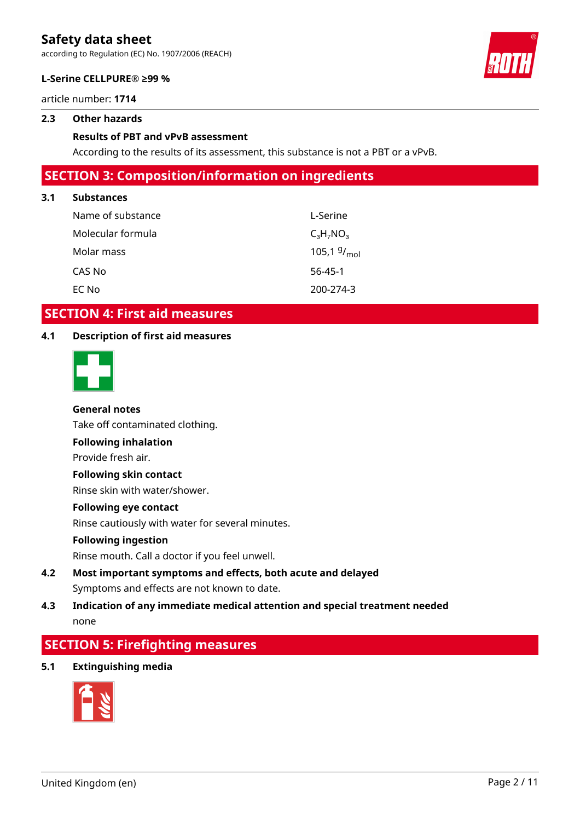according to Regulation (EC) No. 1907/2006 (REACH)





#### **L-Serine CELLPURE® ≥99 %**

article number: **1714**

#### **2.3 Other hazards**

#### **Results of PBT and vPvB assessment**

According to the results of its assessment, this substance is not a PBT or a vPvB.

## **SECTION 3: Composition/information on ingredients**

#### **3.1 Substances**

| Name of substance | L-Serine         |
|-------------------|------------------|
| Molecular formula | $C_3H_7NO_3$     |
| Molar mass        | 105,1 $9/_{mol}$ |
| CAS No            | $56 - 45 - 1$    |
| EC No             | 200-274-3        |

### **SECTION 4: First aid measures**

### **4.1 Description of first aid measures**



#### **General notes**

Take off contaminated clothing.

**Following inhalation**

Provide fresh air.

#### **Following skin contact**

Rinse skin with water/shower.

#### **Following eye contact**

Rinse cautiously with water for several minutes.

#### **Following ingestion**

Rinse mouth. Call a doctor if you feel unwell.

### **4.2 Most important symptoms and effects, both acute and delayed** Symptoms and effects are not known to date.

### **4.3 Indication of any immediate medical attention and special treatment needed** none

# **SECTION 5: Firefighting measures**

**5.1 Extinguishing media**

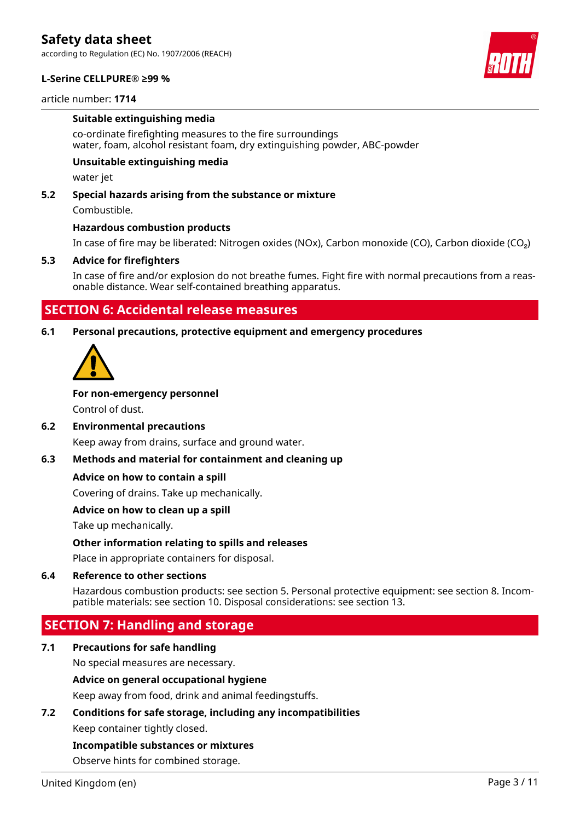according to Regulation (EC) No. 1907/2006 (REACH)

#### **L-Serine CELLPURE® ≥99 %**

#### article number: **1714**

#### **Suitable extinguishing media**

co-ordinate firefighting measures to the fire surroundings water, foam, alcohol resistant foam, dry extinguishing powder, ABC-powder

#### **Unsuitable extinguishing media**

water jet

#### **5.2 Special hazards arising from the substance or mixture**

Combustible.

#### **Hazardous combustion products**

In case of fire may be liberated: Nitrogen oxides (NOx), Carbon monoxide (CO), Carbon dioxide (CO₂)

#### **5.3 Advice for firefighters**

In case of fire and/or explosion do not breathe fumes. Fight fire with normal precautions from a reasonable distance. Wear self-contained breathing apparatus.

### **SECTION 6: Accidental release measures**

#### **6.1 Personal precautions, protective equipment and emergency procedures**



#### **For non-emergency personnel**

Control of dust.

#### **6.2 Environmental precautions**

Keep away from drains, surface and ground water.

#### **6.3 Methods and material for containment and cleaning up**

#### **Advice on how to contain a spill**

Covering of drains. Take up mechanically.

#### **Advice on how to clean up a spill**

Take up mechanically.

#### **Other information relating to spills and releases**

Place in appropriate containers for disposal.

#### **6.4 Reference to other sections**

Hazardous combustion products: see section 5. Personal protective equipment: see section 8. Incompatible materials: see section 10. Disposal considerations: see section 13.

### **SECTION 7: Handling and storage**

#### **7.1 Precautions for safe handling**

No special measures are necessary.

#### **Advice on general occupational hygiene**

Keep away from food, drink and animal feedingstuffs.

#### **7.2 Conditions for safe storage, including any incompatibilities**

Keep container tightly closed.

#### **Incompatible substances or mixtures**

Observe hints for combined storage.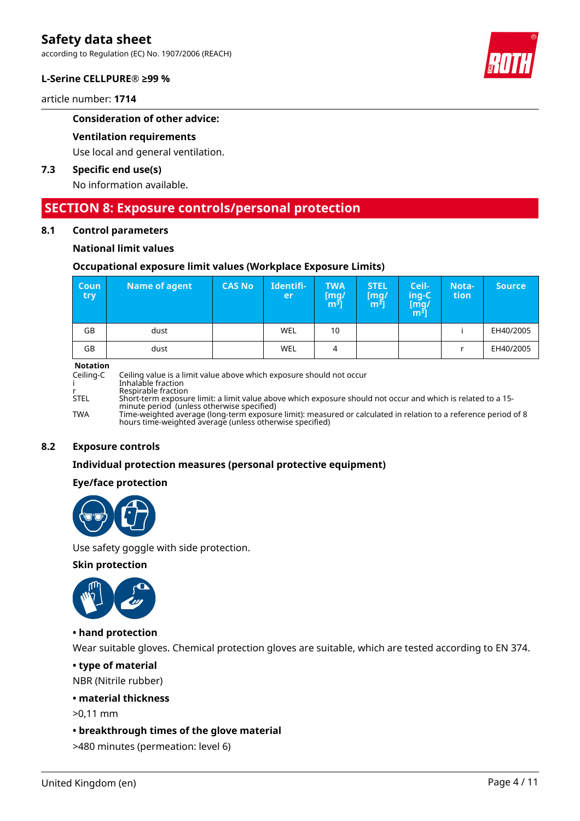according to Regulation (EC) No. 1907/2006 (REACH)

#### **L-Serine CELLPURE® ≥99 %**

article number: **1714**

#### **Consideration of other advice:**

#### **Ventilation requirements**

Use local and general ventilation.

#### **7.3 Specific end use(s)**

No information available.

### **SECTION 8: Exposure controls/personal protection**

#### **8.1 Control parameters**

#### **National limit values**

#### **Occupational exposure limit values (Workplace Exposure Limits)**

| <b>Coun</b><br><b>try</b> | Name of agent | <b>CAS No</b> | Identifi-<br>er | <b>TWA</b><br>[mq/<br>m <sup>3</sup> | <b>STEL</b><br>[mq/<br>m31 | Ceil-<br>ing-C<br>[mg/<br>m <sup>ɜ</sup> ] | Nota-<br>tion | <b>Source</b> |
|---------------------------|---------------|---------------|-----------------|--------------------------------------|----------------------------|--------------------------------------------|---------------|---------------|
| GB                        | dust          |               | <b>WEL</b>      | 10                                   |                            |                                            |               | EH40/2005     |
| GB                        | dust          |               | WEL             | 4                                    |                            |                                            |               | EH40/2005     |

#### **Notation**

Ceiling-C Ceiling value is a limit value above which exposure should not occur i Inhalable fraction r Respirable fraction<br>STEL Short-term exposui Short-term exposure limit: a limit value above which exposure should not occur and which is related to a 15minute period (unless otherwise specified) TWA Time-weighted average (long-term exposure limit): measured or calculated in relation to a reference period of 8 hours time-weighted average (unless otherwise specified)

#### **8.2 Exposure controls**

#### **Individual protection measures (personal protective equipment)**

#### **Eye/face protection**



Use safety goggle with side protection.

#### **Skin protection**



#### **• hand protection**

Wear suitable gloves. Chemical protection gloves are suitable, which are tested according to EN 374.

#### **• type of material**

NBR (Nitrile rubber)

#### **• material thickness**

>0,11 mm

#### **• breakthrough times of the glove material**

>480 minutes (permeation: level 6)

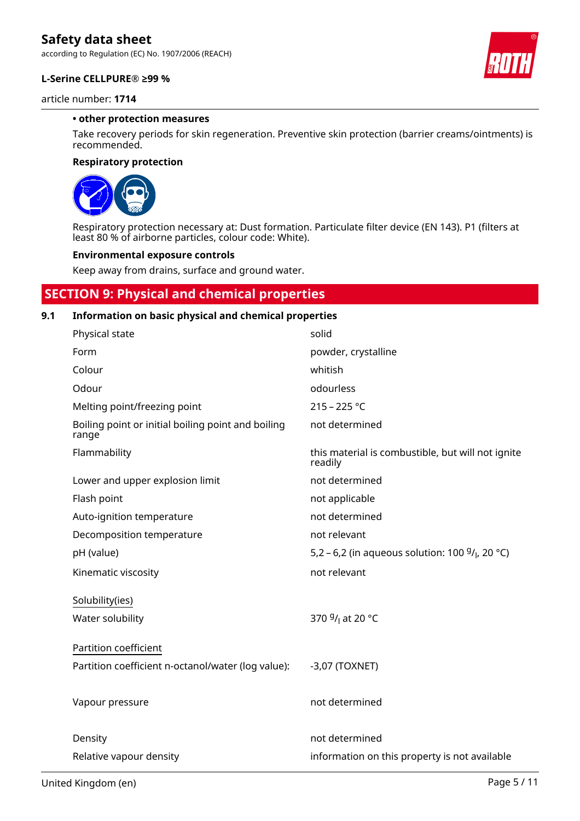according to Regulation (EC) No. 1907/2006 (REACH)

#### **L-Serine CELLPURE® ≥99 %**

article number: **1714**

#### **• other protection measures**

Take recovery periods for skin regeneration. Preventive skin protection (barrier creams/ointments) is recommended.

#### **Respiratory protection**



Respiratory protection necessary at: Dust formation. Particulate filter device (EN 143). P1 (filters at least 80 % of airborne particles, colour code: White).

#### **Environmental exposure controls**

Keep away from drains, surface and ground water.

# **SECTION 9: Physical and chemical properties**

#### **9.1 Information on basic physical and chemical properties**

| Physical state                                              | solid                                                        |
|-------------------------------------------------------------|--------------------------------------------------------------|
| Form                                                        | powder, crystalline                                          |
| Colour                                                      | whitish                                                      |
| Odour                                                       | odourless                                                    |
| Melting point/freezing point                                | $215 - 225 °C$                                               |
| Boiling point or initial boiling point and boiling<br>range | not determined                                               |
| Flammability                                                | this material is combustible, but will not ignite<br>readily |
| Lower and upper explosion limit                             | not determined                                               |
| Flash point                                                 | not applicable                                               |
| Auto-ignition temperature                                   | not determined                                               |
| Decomposition temperature                                   | not relevant                                                 |
| pH (value)                                                  | 5,2 – 6,2 (in aqueous solution: 100 $9/$ , 20 °C)            |
| Kinematic viscosity                                         | not relevant                                                 |
| Solubility(ies)                                             |                                                              |
| Water solubility                                            | 370 <sup>g</sup> / <sub>l</sub> at 20 °C                     |
| Partition coefficient                                       |                                                              |
| Partition coefficient n-octanol/water (log value):          | $-3,07$ (TOXNET)                                             |
| Vapour pressure                                             | not determined                                               |
| Density                                                     | not determined                                               |
| Relative vapour density                                     | information on this property is not available                |

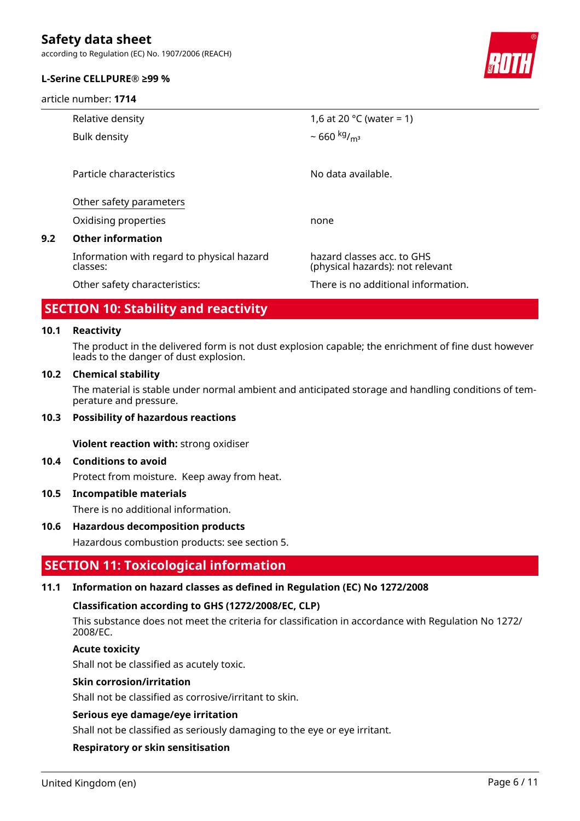according to Regulation (EC) No. 1907/2006 (REACH)

#### **L-Serine CELLPURE® ≥99 %**

article number: **1714**



|     | Relative density                                       | 1,6 at 20 $^{\circ}$ C (water = 1)                             |
|-----|--------------------------------------------------------|----------------------------------------------------------------|
|     | Bulk density                                           | $\sim 660 \frac{\text{kg}}{\text{m}^3}$                        |
|     |                                                        |                                                                |
|     | Particle characteristics                               | No data available.                                             |
|     | Other safety parameters                                |                                                                |
|     | Oxidising properties                                   | none                                                           |
| 9.2 | <b>Other information</b>                               |                                                                |
|     | Information with regard to physical hazard<br>classes: | hazard classes acc. to GHS<br>(physical hazards): not relevant |
|     | Other safety characteristics:                          | There is no additional information.                            |
|     |                                                        |                                                                |

### **SECTION 10: Stability and reactivity**

#### **10.1 Reactivity**

The product in the delivered form is not dust explosion capable; the enrichment of fine dust however leads to the danger of dust explosion.

#### **10.2 Chemical stability**

The material is stable under normal ambient and anticipated storage and handling conditions of temperature and pressure.

#### **10.3 Possibility of hazardous reactions**

**Violent reaction with:** strong oxidiser

#### **10.4 Conditions to avoid**

Protect from moisture. Keep away from heat.

#### **10.5 Incompatible materials**

There is no additional information.

#### **10.6 Hazardous decomposition products**

Hazardous combustion products: see section 5.

### **SECTION 11: Toxicological information**

#### **11.1 Information on hazard classes as defined in Regulation (EC) No 1272/2008**

#### **Classification according to GHS (1272/2008/EC, CLP)**

This substance does not meet the criteria for classification in accordance with Regulation No 1272/ 2008/EC.

### **Acute toxicity**

Shall not be classified as acutely toxic.

### **Skin corrosion/irritation**

Shall not be classified as corrosive/irritant to skin.

#### **Serious eye damage/eye irritation**

Shall not be classified as seriously damaging to the eye or eye irritant.

#### **Respiratory or skin sensitisation**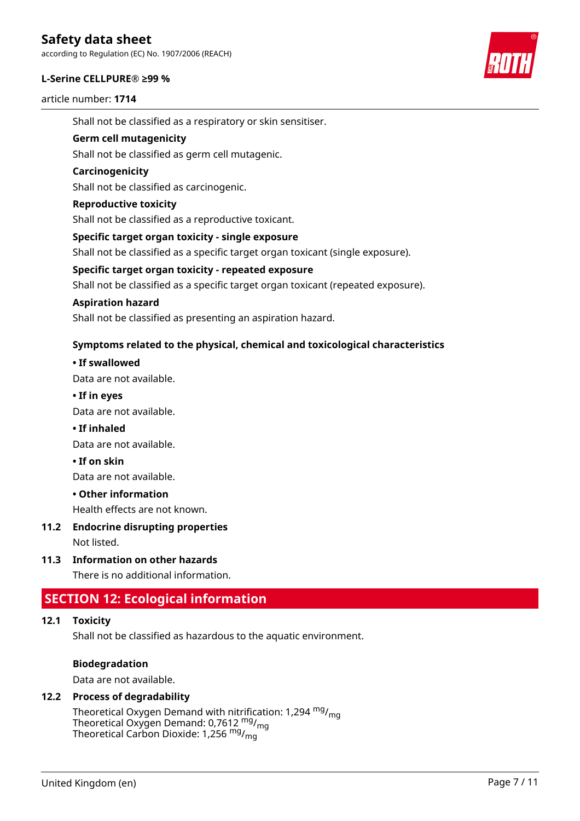according to Regulation (EC) No. 1907/2006 (REACH)

#### **L-Serine CELLPURE® ≥99 %**

article number: **1714**



Shall not be classified as a respiratory or skin sensitiser.

#### **Germ cell mutagenicity**

Shall not be classified as germ cell mutagenic.

#### **Carcinogenicity**

Shall not be classified as carcinogenic.

#### **Reproductive toxicity**

Shall not be classified as a reproductive toxicant.

#### **Specific target organ toxicity - single exposure**

Shall not be classified as a specific target organ toxicant (single exposure).

#### **Specific target organ toxicity - repeated exposure**

Shall not be classified as a specific target organ toxicant (repeated exposure).

#### **Aspiration hazard**

Shall not be classified as presenting an aspiration hazard.

### **Symptoms related to the physical, chemical and toxicological characteristics**

#### **• If swallowed**

Data are not available.

**• If in eyes**

Data are not available.

#### **• If inhaled**

Data are not available.

#### **• If on skin**

Data are not available.

#### **• Other information**

Health effects are not known.

#### **11.2 Endocrine disrupting properties**

Not listed.

### **11.3 Information on other hazards**

There is no additional information.

### **SECTION 12: Ecological information**

#### **12.1 Toxicity**

Shall not be classified as hazardous to the aquatic environment.

#### **Biodegradation**

Data are not available.

#### **12.2 Process of degradability**

Theoretical Oxygen Demand with nitrification: 1,294  $mg/m<sub>q</sub>$ Theoretical Oxygen Demand: 0,7612 <sup>mg</sup>/<sub>mg</sub> Theoretical Carbon Dioxide: 1,256 <sup>mg</sup>/<sub>mg</sub>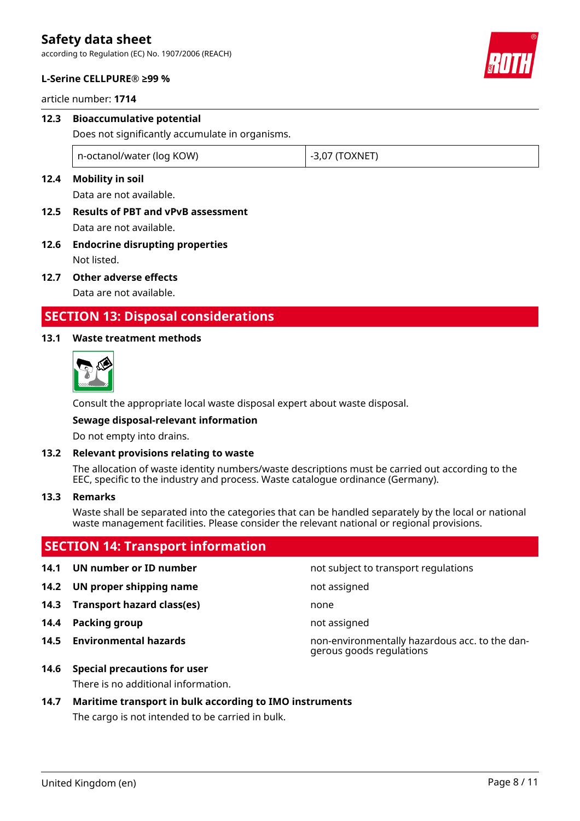according to Regulation (EC) No. 1907/2006 (REACH)

#### **L-Serine CELLPURE® ≥99 %**

article number: **1714**

# **12.3 Bioaccumulative potential**

Does not significantly accumulate in organisms.

n-octanol/water (log KOW)  $\vert$  -3,07 (TOXNET)

### **12.4 Mobility in soil**

Data are not available.

- **12.5 Results of PBT and vPvB assessment** Data are not available.
- **12.6 Endocrine disrupting properties** Not listed.
- **12.7 Other adverse effects**

Data are not available.

## **SECTION 13: Disposal considerations**

#### **13.1 Waste treatment methods**



Consult the appropriate local waste disposal expert about waste disposal.

#### **Sewage disposal-relevant information**

Do not empty into drains.

#### **13.2 Relevant provisions relating to waste**

The allocation of waste identity numbers/waste descriptions must be carried out according to the EEC, specific to the industry and process. Waste catalogue ordinance (Germany).

#### **13.3 Remarks**

Waste shall be separated into the categories that can be handled separately by the local or national waste management facilities. Please consider the relevant national or regional provisions.

# **SECTION 14: Transport information**

#### **14.1 UN number or ID number 14.1 UN number** not subject to transport regulations

- **14.2 UN proper shipping name** not assigned
- **14.3 Transport hazard class(es)** none
- **14.4 Packing group not assigned**
- 

**14.5 Environmental hazards** non-environmentally hazardous acc. to the dangerous goods regulations

**14.6 Special precautions for user**

There is no additional information.

# **14.7 Maritime transport in bulk according to IMO instruments**

The cargo is not intended to be carried in bulk.

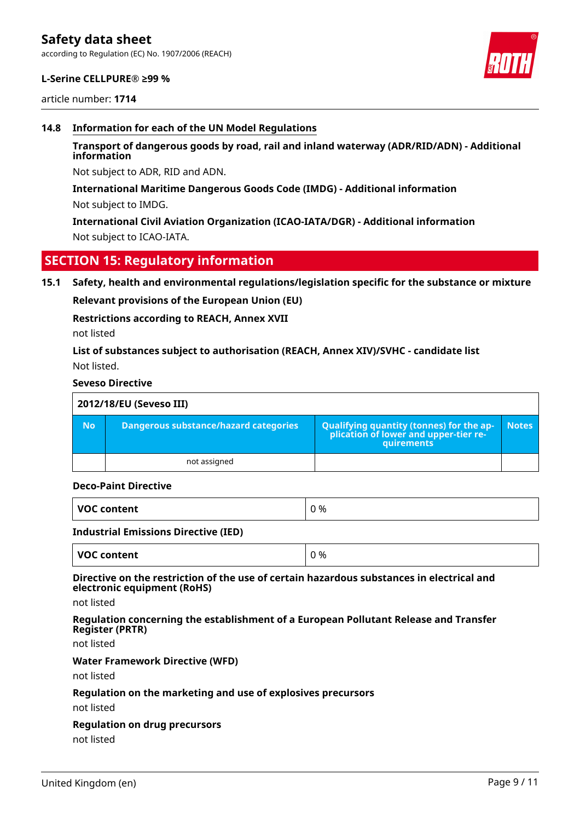according to Regulation (EC) No. 1907/2006 (REACH)

#### **L-Serine CELLPURE® ≥99 %**

article number: **1714**

#### **14.8 Information for each of the UN Model Regulations**

### **Transport of dangerous goods by road, rail and inland waterway (ADR/RID/ADN) - Additional information**

Not subject to ADR, RID and ADN.

#### **International Maritime Dangerous Goods Code (IMDG) - Additional information**

Not subject to IMDG.

**International Civil Aviation Organization (ICAO-IATA/DGR) - Additional information** Not subject to ICAO-IATA.

### **SECTION 15: Regulatory information**

#### **15.1 Safety, health and environmental regulations/legislation specific for the substance or mixture**

**Relevant provisions of the European Union (EU)**

#### **Restrictions according to REACH, Annex XVII**

not listed

### **List of substances subject to authorisation (REACH, Annex XIV)/SVHC - candidate list** Not listed.

#### **Seveso Directive**

| 2012/18/EU (Seveso III) |                                       |                                                                                            |              |  |
|-------------------------|---------------------------------------|--------------------------------------------------------------------------------------------|--------------|--|
| <b>No</b>               | Dangerous substance/hazard categories | Qualifying quantity (tonnes) for the application of lower and upper-tier re-<br>quirements | <b>Notes</b> |  |
|                         | not assigned                          |                                                                                            |              |  |

#### **Deco-Paint Directive**

| <b>VOC</b><br>'OC content | <u>ባ %</u> |
|---------------------------|------------|
|---------------------------|------------|

#### **Industrial Emissions Directive (IED)**

| VOC content<br>0 % |  |
|--------------------|--|
|--------------------|--|

#### **Directive on the restriction of the use of certain hazardous substances in electrical and electronic equipment (RoHS)**

not listed

#### **Regulation concerning the establishment of a European Pollutant Release and Transfer Register (PRTR)**

not listed

#### **Water Framework Directive (WFD)**

not listed

#### **Regulation on the marketing and use of explosives precursors**

not listed

#### **Regulation on drug precursors**

not listed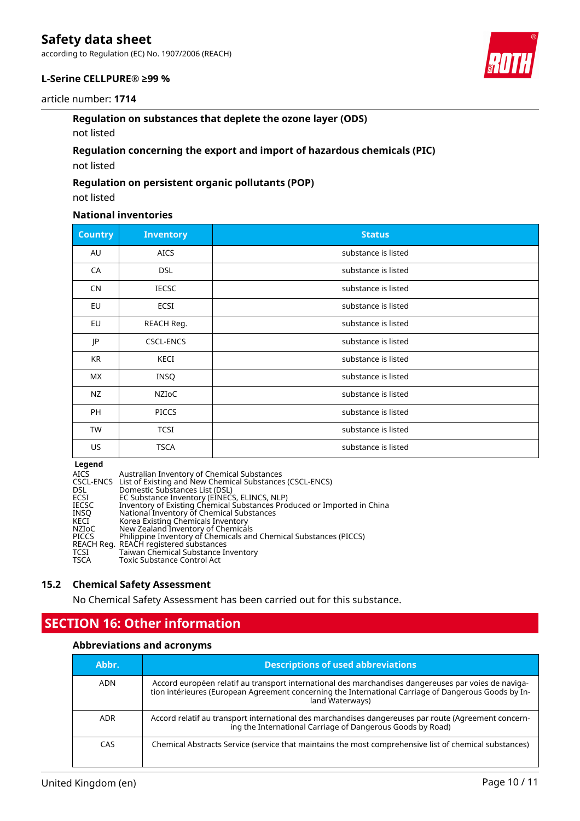according to Regulation (EC) No. 1907/2006 (REACH)

#### **L-Serine CELLPURE® ≥99 %**

#### article number: **1714**

#### **Regulation on substances that deplete the ozone layer (ODS)**

not listed

### **Regulation concerning the export and import of hazardous chemicals (PIC)**

not listed

#### **Regulation on persistent organic pollutants (POP)**

not listed

### **National inventories**

| <b>Country</b> | <b>Inventory</b> | <b>Status</b>       |
|----------------|------------------|---------------------|
| AU             | <b>AICS</b>      | substance is listed |
| CA             | <b>DSL</b>       | substance is listed |
| CN             | <b>IECSC</b>     | substance is listed |
| EU             | ECSI             | substance is listed |
| EU             | REACH Reg.       | substance is listed |
| JP             | <b>CSCL-ENCS</b> | substance is listed |
| KR             | KECI             | substance is listed |
| <b>MX</b>      | INSQ             | substance is listed |
| NZ             | NZIOC            | substance is listed |
| PH             | <b>PICCS</b>     | substance is listed |
| <b>TW</b>      | <b>TCSI</b>      | substance is listed |
| US             | <b>TSCA</b>      | substance is listed |

#### **Legend**

| <b>AICS</b>  | Australian Inventory of Chemical Substances                             |
|--------------|-------------------------------------------------------------------------|
|              | CSCL-ENCS List of Existing and New Chemical Substances (CSCL-ENCS)      |
| <b>DSL</b>   | Domestic Substances List (DSL)                                          |
| ECSI         | EC Substance Inventory (EINECS, ELINCS, NLP)                            |
| <b>IECSC</b> | Inventory of Existing Chemical Substances Produced or Imported in China |
| <b>INSO</b>  | National Inventory of Chemical Substances                               |
| KECI         | Korea Existing Chemicals Inventory                                      |
| NZIoC        | New Zealand Inventory of Chemicals                                      |
| <b>PICCS</b> | Philippine Inventory of Chemicals and Chemical Substances (PICCS)       |
|              | REACH Reg. REACH registered substances                                  |
| TCSI         | Taiwan Chemical Substance Inventory                                     |
| <b>TSCA</b>  | Toxic Substance Control Act                                             |

#### **15.2 Chemical Safety Assessment**

No Chemical Safety Assessment has been carried out for this substance.

# **SECTION 16: Other information**

#### **Abbreviations and acronyms**

| Abbr.      | <b>Descriptions of used abbreviations</b>                                                                                                                                                                                       |
|------------|---------------------------------------------------------------------------------------------------------------------------------------------------------------------------------------------------------------------------------|
| <b>ADN</b> | Accord européen relatif au transport international des marchandises dangereuses par voies de naviga-<br>tion intérieures (European Agreement concerning the International Carriage of Dangerous Goods by In-<br>land Waterways) |
| <b>ADR</b> | Accord relatif au transport international des marchandises dangereuses par route (Agreement concern-<br>ing the International Carriage of Dangerous Goods by Road)                                                              |
| CAS        | Chemical Abstracts Service (service that maintains the most comprehensive list of chemical substances)                                                                                                                          |